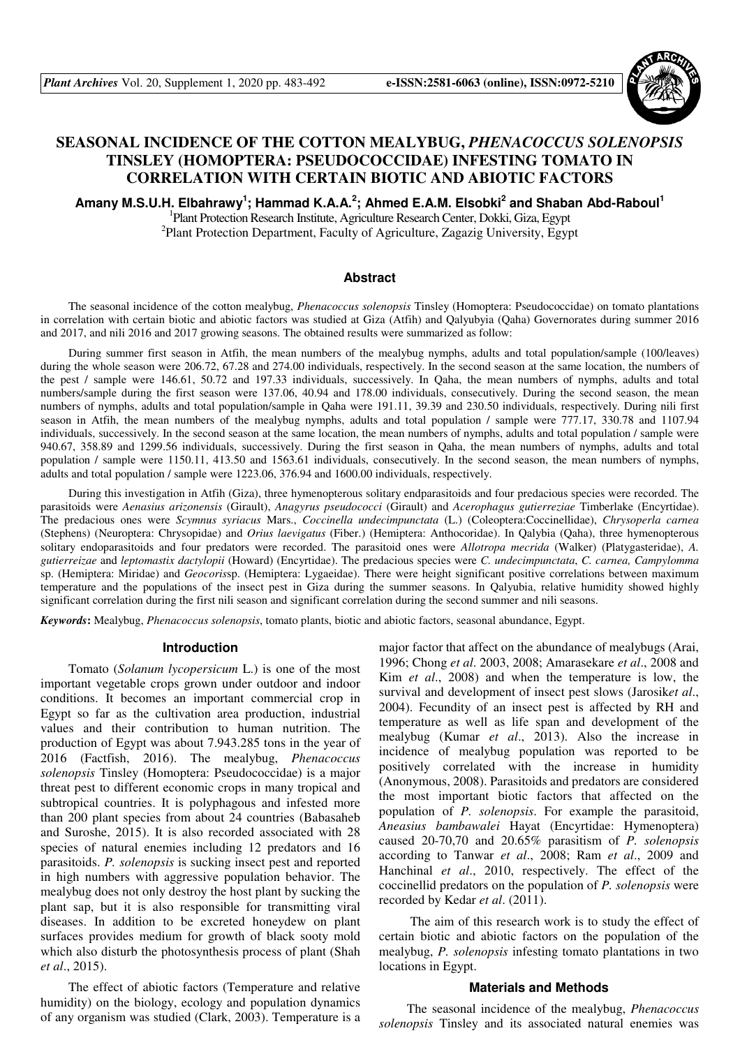

# **SEASONAL INCIDENCE OF THE COTTON MEALYBUG,** *PHENACOCCUS SOLENOPSIS* **TINSLEY (HOMOPTERA: PSEUDOCOCCIDAE) INFESTING TOMATO IN CORRELATION WITH CERTAIN BIOTIC AND ABIOTIC FACTORS**

**Amany M.S.U.H. Elbahrawy<sup>1</sup> ; Hammad K.A.A.<sup>2</sup> ; Ahmed E.A.M. Elsobki<sup>2</sup> and Shaban Abd-Raboul<sup>1</sup>**

<sup>1</sup>Plant Protection Research Institute, Agriculture Research Center, Dokki, Giza, Egypt <sup>2</sup>Plant Protection Department, Faculty of Agriculture, Zagazig University, Egypt

### **Abstract**

The seasonal incidence of the cotton mealybug, *Phenacoccus solenopsis* Tinsley (Homoptera: Pseudococcidae) on tomato plantations in correlation with certain biotic and abiotic factors was studied at Giza (Atfih) and Qalyubyia (Qaha) Governorates during summer 2016 and 2017, and nili 2016 and 2017 growing seasons. The obtained results were summarized as follow:

During summer first season in Atfih, the mean numbers of the mealybug nymphs, adults and total population/sample (100/leaves) during the whole season were 206.72, 67.28 and 274.00 individuals, respectively. In the second season at the same location, the numbers of the pest / sample were 146.61, 50.72 and 197.33 individuals, successively. In Qaha, the mean numbers of nymphs, adults and total numbers/sample during the first season were 137.06, 40.94 and 178.00 individuals, consecutively. During the second season, the mean numbers of nymphs, adults and total population/sample in Qaha were 191.11, 39.39 and 230.50 individuals, respectively. During nili first season in Atfih, the mean numbers of the mealybug nymphs, adults and total population / sample were 777.17, 330.78 and 1107.94 individuals, successively. In the second season at the same location, the mean numbers of nymphs, adults and total population / sample were 940.67, 358.89 and 1299.56 individuals, successively. During the first season in Qaha, the mean numbers of nymphs, adults and total population / sample were 1150.11, 413.50 and 1563.61 individuals, consecutively. In the second season, the mean numbers of nymphs, adults and total population / sample were 1223.06, 376.94 and 1600.00 individuals, respectively.

During this investigation in Atfih (Giza), three hymenopterous solitary endparasitoids and four predacious species were recorded. The parasitoids were *Aenasius arizonensis* (Girault), *Anagyrus pseudococci* (Girault) and *Acerophagus gutierreziae* Timberlake (Encyrtidae). The predacious ones were *Scymnus syriacus* Mars., *Coccinella undecimpunctata* (L.) (Coleoptera:Coccinellidae), *Chrysoperla carnea* (Stephens) (Neuroptera: Chrysopidae) and *Orius laevigatus* (Fiber.) (Hemiptera: Anthocoridae). In Qalybia (Qaha), three hymenopterous solitary endoparasitoids and four predators were recorded. The parasitoid ones were *Allotropa mecrida* (Walker) (Platygasteridae), *A. gutierreizae* and *leptomastix dactylopii* (Howard) (Encyrtidae). The predacious species were *C. undecimpunctata*, *C. carnea, Campylomma* sp. (Hemiptera: Miridae) and *Geocoris*sp. (Hemiptera: Lygaeidae). There were height significant positive correlations between maximum temperature and the populations of the insect pest in Giza during the summer seasons. In Qalyubia, relative humidity showed highly significant correlation during the first nili season and significant correlation during the second summer and nili seasons.

*Keywords***:** Mealybug, *Phenacoccus solenopsis*, tomato plants, biotic and abiotic factors, seasonal abundance, Egypt.

#### **Introduction**

Tomato (*Solanum lycopersicum* L.) is one of the most important vegetable crops grown under outdoor and indoor conditions. It becomes an important commercial crop in Egypt so far as the cultivation area production, industrial values and their contribution to human nutrition. The production of Egypt was about 7.943.285 tons in the year of 2016 (Factfish, 2016). The mealybug, *Phenacoccus solenopsis* Tinsley (Homoptera: Pseudococcidae) is a major threat pest to different economic crops in many tropical and subtropical countries. It is polyphagous and infested more than 200 plant species from about 24 countries (Babasaheb and Suroshe, 2015). It is also recorded associated with 28 species of natural enemies including 12 predators and 16 parasitoids. *P. solenopsis* is sucking insect pest and reported in high numbers with aggressive population behavior. The mealybug does not only destroy the host plant by sucking the plant sap, but it is also responsible for transmitting viral diseases. In addition to be excreted honeydew on plant surfaces provides medium for growth of black sooty mold which also disturb the photosynthesis process of plant (Shah *et al*., 2015).

The effect of abiotic factors (Temperature and relative humidity) on the biology, ecology and population dynamics of any organism was studied (Clark, 2003). Temperature is a

major factor that affect on the abundance of mealybugs (Arai, 1996; Chong *et al*. 2003, 2008; Amarasekare *et al*., 2008 and Kim *et al*., 2008) and when the temperature is low, the survival and development of insect pest slows (Jarosik*et al*., 2004). Fecundity of an insect pest is affected by RH and temperature as well as life span and development of the mealybug (Kumar *et al*., 2013). Also the increase in incidence of mealybug population was reported to be positively correlated with the increase in humidity (Anonymous, 2008). Parasitoids and predators are considered the most important biotic factors that affected on the population of *P. solenopsis*. For example the parasitoid, *Aneasius bambawalei* Hayat (Encyrtidae: Hymenoptera) caused 20-70,70 and 20.65% parasitism of *P. solenopsis* according to Tanwar *et al*., 2008; Ram *et al*., 2009 and Hanchinal *et al*., 2010, respectively. The effect of the coccinellid predators on the population of *P. solenopsis* were recorded by Kedar *et al*. (2011).

 The aim of this research work is to study the effect of certain biotic and abiotic factors on the population of the mealybug, *P. solenopsis* infesting tomato plantations in two locations in Egypt.

#### **Materials and Methods**

The seasonal incidence of the mealybug, *Phenacoccus solenopsis* Tinsley and its associated natural enemies was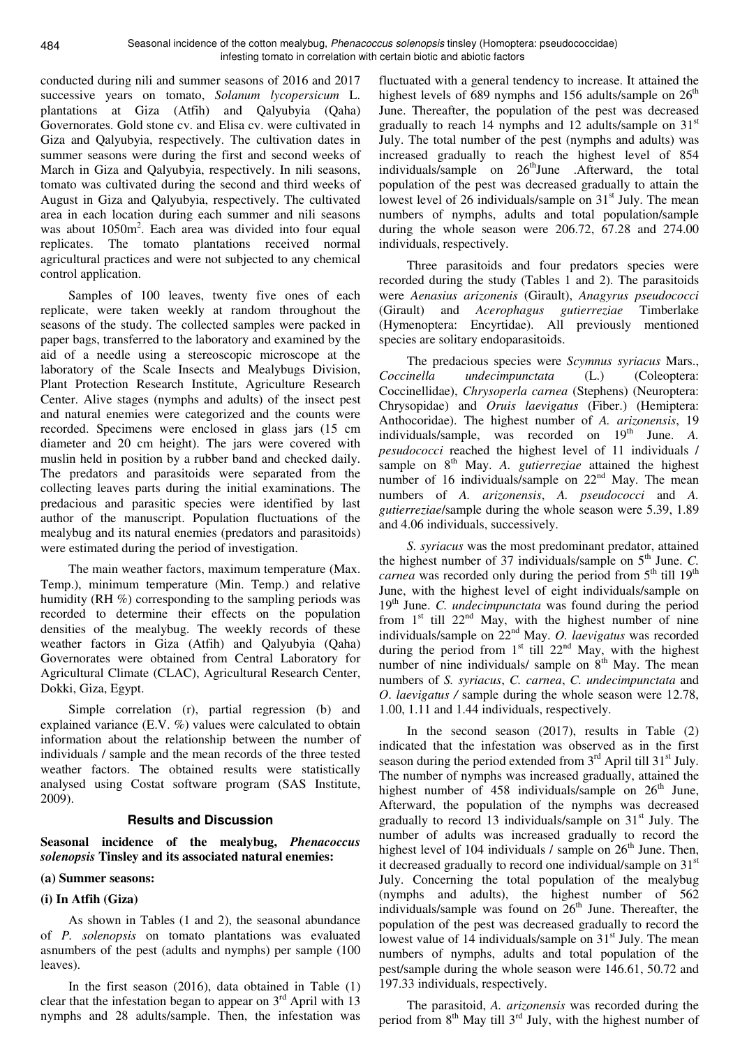conducted during nili and summer seasons of 2016 and 2017 successive years on tomato, *Solanum lycopersicum* L. plantations at Giza (Atfih) and Qalyubyia (Qaha) Governorates. Gold stone cv. and Elisa cv. were cultivated in Giza and Qalyubyia, respectively. The cultivation dates in summer seasons were during the first and second weeks of March in Giza and Qalyubyia, respectively. In nili seasons, tomato was cultivated during the second and third weeks of August in Giza and Qalyubyia, respectively. The cultivated area in each location during each summer and nili seasons was about 1050m<sup>2</sup>. Each area was divided into four equal replicates. The tomato plantations received normal agricultural practices and were not subjected to any chemical control application.

Samples of 100 leaves, twenty five ones of each replicate, were taken weekly at random throughout the seasons of the study. The collected samples were packed in paper bags, transferred to the laboratory and examined by the aid of a needle using a stereoscopic microscope at the laboratory of the Scale Insects and Mealybugs Division, Plant Protection Research Institute, Agriculture Research Center. Alive stages (nymphs and adults) of the insect pest and natural enemies were categorized and the counts were recorded. Specimens were enclosed in glass jars (15 cm diameter and 20 cm height). The jars were covered with muslin held in position by a rubber band and checked daily. The predators and parasitoids were separated from the collecting leaves parts during the initial examinations. The predacious and parasitic species were identified by last author of the manuscript. Population fluctuations of the mealybug and its natural enemies (predators and parasitoids) were estimated during the period of investigation.

The main weather factors, maximum temperature (Max. Temp.), minimum temperature (Min. Temp.) and relative humidity (RH %) corresponding to the sampling periods was recorded to determine their effects on the population densities of the mealybug. The weekly records of these weather factors in Giza (Atfih) and Qalyubyia (Qaha) Governorates were obtained from Central Laboratory for Agricultural Climate (CLAC), Agricultural Research Center, Dokki, Giza, Egypt.

Simple correlation (r), partial regression (b) and explained variance (E.V. %) values were calculated to obtain information about the relationship between the number of individuals / sample and the mean records of the three tested weather factors. The obtained results were statistically analysed using Costat software program (SAS Institute, 2009).

### **Results and Discussion**

**Seasonal incidence of the mealybug,** *Phenacoccus solenopsis* **Tinsley and its associated natural enemies:** 

### **(a) Summer seasons:**

### **(i) In Atfih (Giza)**

As shown in Tables (1 and 2), the seasonal abundance of *P. solenopsis* on tomato plantations was evaluated asnumbers of the pest (adults and nymphs) per sample (100 leaves).

In the first season (2016), data obtained in Table (1) clear that the infestation began to appear on  $3<sup>rd</sup>$  April with 13 nymphs and 28 adults/sample. Then, the infestation was

fluctuated with a general tendency to increase. It attained the highest levels of 689 nymphs and 156 adults/sample on  $26<sup>th</sup>$ June. Thereafter, the population of the pest was decreased gradually to reach 14 nymphs and 12 adults/sample on  $31<sup>st</sup>$ July. The total number of the pest (nymphs and adults) was increased gradually to reach the highest level of 854 individuals/sample on 26<sup>th</sup>June .Afterward, the total population of the pest was decreased gradually to attain the lowest level of 26 individuals/sample on  $31<sup>st</sup>$  July. The mean numbers of nymphs, adults and total population/sample during the whole season were 206.72, 67.28 and 274.00 individuals, respectively.

Three parasitoids and four predators species were recorded during the study (Tables 1 and 2). The parasitoids were *Aenasius arizonenis* (Girault), *Anagyrus pseudococci* (Girault) and *Acerophagus gutierreziae* Timberlake (Hymenoptera: Encyrtidae). All previously mentioned species are solitary endoparasitoids.

The predacious species were *Scymnus syriacus* Mars., *Coccinella undecimpunctata* (L.) (Coleoptera: Coccinellidae), *Chrysoperla carnea* (Stephens) (Neuroptera: Chrysopidae) and *Oruis laevigatus* (Fiber.) (Hemiptera: Anthocoridae). The highest number of *A. arizonensis*, 19 individuals/sample, was recorded on 19<sup>th</sup> June. A. *pesudococci* reached the highest level of 11 individuals / sample on 8<sup>th</sup> May. *A. gutierreziae* attained the highest number of 16 individuals/sample on 22<sup>nd</sup> May. The mean numbers of *A. arizonensis*, *A. pseudococci* and *A. gutierreziae*/sample during the whole season were 5.39, 1.89 and 4.06 individuals, successively.

*S. syriacus* was the most predominant predator, attained the highest number of 37 individuals/sample on  $5<sup>th</sup>$  June. *C*. *carnea* was recorded only during the period from 5<sup>th</sup> till 19<sup>th</sup> June, with the highest level of eight individuals/sample on 19<sup>th</sup> June. *C. undecimpunctata* was found during the period from  $1<sup>st</sup>$  till  $22<sup>nd</sup>$  May, with the highest number of nine individuals/sample on 22nd May. *O. laevigatus* was recorded during the period from  $1<sup>st</sup>$  till  $22<sup>nd</sup>$  May, with the highest number of nine individuals/ sample on  $8<sup>th</sup>$  May. The mean numbers of *S. syriacus*, *C. carnea*, *C. undecimpunctata* and *O*. *laevigatus /* sample during the whole season were 12.78, 1.00, 1.11 and 1.44 individuals, respectively.

In the second season (2017), results in Table (2) indicated that the infestation was observed as in the first season during the period extended from  $3<sup>rd</sup>$  April till  $31<sup>st</sup>$  July. The number of nymphs was increased gradually, attained the highest number of  $458$  individuals/sample on  $26<sup>th</sup>$  June, Afterward, the population of the nymphs was decreased gradually to record 13 individuals/sample on  $31<sup>st</sup>$  July. The number of adults was increased gradually to record the highest level of 104 individuals  $\ell$  sample on  $26<sup>th</sup>$  June. Then, it decreased gradually to record one individual/sample on  $31<sup>st</sup>$ July. Concerning the total population of the mealybug (nymphs and adults), the highest number of 562 individuals/sample was found on  $26<sup>th</sup>$  June. Thereafter, the population of the pest was decreased gradually to record the lowest value of 14 individuals/sample on  $31<sup>st</sup>$  July. The mean numbers of nymphs, adults and total population of the pest/sample during the whole season were 146.61, 50.72 and 197.33 individuals, respectively.

The parasitoid, *A. arizonensis* was recorded during the period from  $8<sup>th</sup>$  May till  $3<sup>rd</sup>$  July, with the highest number of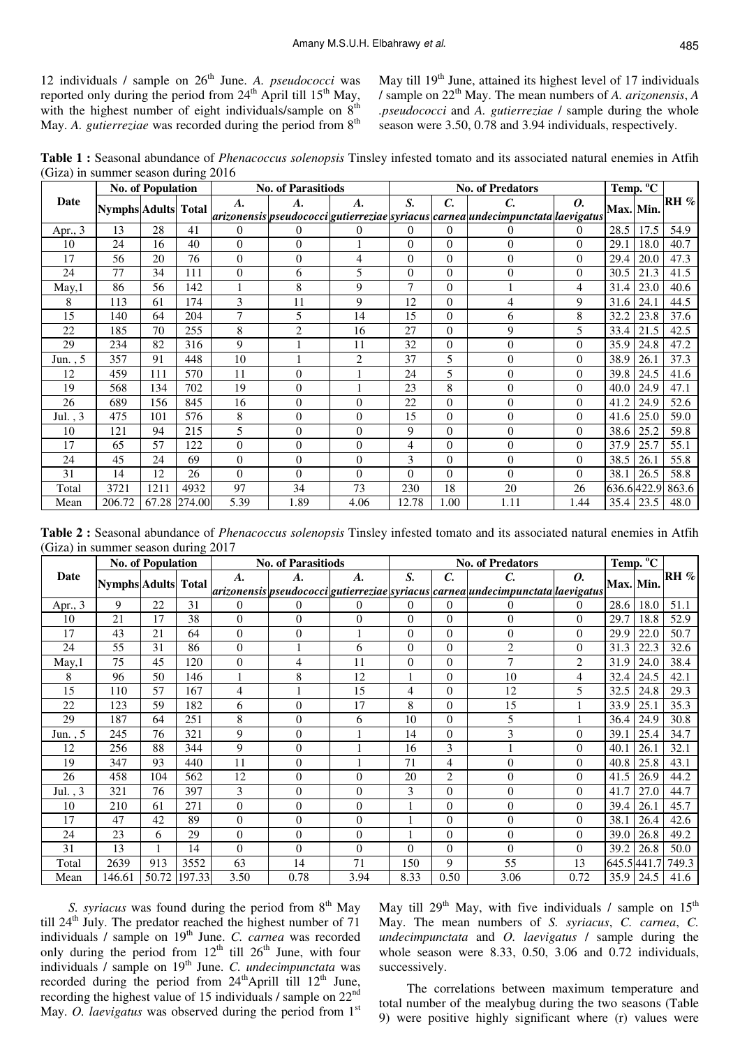12 individuals / sample on 26<sup>th</sup> June. A. *pseudococci* was reported only during the period from  $24<sup>th</sup>$  April till  $15<sup>th</sup>$  May, with the highest number of eight individuals/sample on  $8<sup>th</sup>$ May. *A. gutierreziae* was recorded during the period from 8<sup>th</sup>

May till  $19<sup>th</sup>$  June, attained its highest level of 17 individuals / sample on 22th May. The mean numbers of *A. arizonensis*, *A .pseudococci* and *A. gutierreziae* / sample during the whole season were 3.50, 0.78 and 3.94 individuals, respectively.

**Table 1 :** Seasonal abundance of *Phenacoccus solenopsis* Tinsley infested tomato and its associated natural enemies in Atfih (Giza) in summer season during 2016

|           |                            | <b>No. of Population</b> |        |                    | <b>No. of Parasitiods</b> |                    |                |                 | <b>No. of Predators</b>                                                         |                | Temp. <sup>o</sup> C |            |        |
|-----------|----------------------------|--------------------------|--------|--------------------|---------------------------|--------------------|----------------|-----------------|---------------------------------------------------------------------------------|----------------|----------------------|------------|--------|
| Date      | <b>Nymphs</b> Adults Total |                          |        | $\boldsymbol{A}$ . | A.                        | $\boldsymbol{A}$ . | S.             | $\mathcal{C}$ . | C.                                                                              | 0.             | <b>Max.</b> Min.     |            | $RH$ % |
|           |                            |                          |        |                    |                           |                    |                |                 | arizonensis pseudococci gutierreziae syriacus carnea undecimpunctata laevigatus |                |                      |            |        |
| Apr., $3$ | 13                         | 28                       | 41     | $\theta$           | $\theta$                  | 0                  | 0              | $\Omega$        | $^{(1)}$                                                                        | $\theta$       | 28.5                 | 17.5       | 54.9   |
| 10        | 24                         | 16                       | 40     | $\Omega$           | $\theta$                  |                    | $\overline{0}$ | $\theta$        | $\theta$                                                                        | $\Omega$       | 29.1                 | 18.0       | 40.7   |
| 17        | 56                         | 20                       | 76     | $\overline{0}$     | $\theta$                  | 4                  | $\overline{0}$ | $\overline{0}$  | $\overline{0}$                                                                  | $\mathbf{0}$   | 29.4                 | 20.0       | 47.3   |
| 24        | 77                         | 34                       | 111    | $\Omega$           | 6                         | 5                  | $\overline{0}$ | $\overline{0}$  | $\overline{0}$                                                                  | $\Omega$       | 30.5                 | 21.3       | 41.5   |
| May,1     | 86                         | 56                       | 142    | 1                  | 8                         | 9                  | 7              | $\overline{0}$  |                                                                                 | 4              | 31.4                 | 23.0       | 40.6   |
| 8         | 113                        | 61                       | 174    | 3                  | 11                        | 9                  | 12             | $\overline{0}$  | 4                                                                               | 9              | 31.6                 | 24.1       | 44.5   |
| 15        | 140                        | 64                       | 204    | 7                  | 5                         | 14                 | 15             | $\theta$        | 6                                                                               | 8              | 32.2                 | 23.8       | 37.6   |
| 22        | 185                        | 70                       | 255    | 8                  | $\mathbf{2}$              | 16                 | 27             | $\theta$        | 9                                                                               | 5              | 33.4                 | 21.5       | 42.5   |
| 29        | 234                        | 82                       | 316    | 9                  |                           | 11                 | 32             | $\overline{0}$  | $\theta$                                                                        | $\Omega$       | 35.9                 | 24.8       | 47.2   |
| Jun., $5$ | 357                        | 91                       | 448    | 10                 |                           | $\overline{2}$     | 37             | 5               | $\theta$                                                                        | $\overline{0}$ | 38.9                 | 26.1       | 37.3   |
| 12        | 459                        | 111                      | 570    | 11                 | $\theta$                  |                    | 24             | 5               | $\overline{0}$                                                                  | $\Omega$       | 39.8                 | 24.5       | 41.6   |
| 19        | 568                        | 134                      | 702    | 19                 | $\Omega$                  |                    | 23             | 8               | $\theta$                                                                        | $\theta$       | 40.0                 | 24.9       | 47.1   |
| 26        | 689                        | 156                      | 845    | 16                 | $\Omega$                  | $\overline{0}$     | 22             | $\theta$        | $\theta$                                                                        | $\Omega$       | 41.2                 | 24.9       | 52.6   |
| Jul., $3$ | 475                        | 101                      | 576    | 8                  | $\overline{0}$            | $\boldsymbol{0}$   | 15             | $\overline{0}$  | $\overline{0}$                                                                  | $\mathbf{0}$   | 41.6                 | 25.0       | 59.0   |
| 10        | 121                        | 94                       | 215    | 5                  | $\Omega$                  | $\overline{0}$     | 9              | $\overline{0}$  | $\theta$                                                                        | $\Omega$       | 38.6                 | 25.2       | 59.8   |
| 17        | 65                         | 57                       | 122    | 0                  | $\theta$                  | $\boldsymbol{0}$   | $\overline{4}$ | $\overline{0}$  | $\overline{0}$                                                                  | $\theta$       | 37.9                 | 25.7       | 55.1   |
| 24        | 45                         | 24                       | 69     | $\theta$           | $\Omega$                  | $\boldsymbol{0}$   | 3              | $\theta$        | $\theta$                                                                        | $\Omega$       | 38.5                 | 26.1       | 55.8   |
| 31        | 14                         | 12                       | 26     | $\Omega$           | $\Omega$                  | $\overline{0}$     | $\Omega$       | $\overline{0}$  | $\Omega$                                                                        | $\Omega$       | 38.1                 | 26.5       | 58.8   |
| Total     | 3721                       | 1211                     | 4932   | 97                 | 34                        | 73                 | 230            | 18              | 20                                                                              | 26             |                      | 636.6422.9 | 863.6  |
| Mean      | 206.72                     | 67.28                    | 274.00 | 5.39               | 1.89                      | 4.06               | 12.78          | 1.00            | 1.11                                                                            | 1.44           | 35.4                 | 23.5       | 48.0   |

**Table 2 :** Seasonal abundance of *Phenacoccus solenopsis* Tinsley infested tomato and its associated natural enemies in Atfih (Giza) in summer season during 2017

|           |                            | <b>No. of Population</b> |        |                | <b>No. of Parasitiods</b> |                  |                |                 | <b>No. of Predators</b>                                                               |                | Temp. <sup>o</sup> C |             |        |
|-----------|----------------------------|--------------------------|--------|----------------|---------------------------|------------------|----------------|-----------------|---------------------------------------------------------------------------------------|----------------|----------------------|-------------|--------|
| Date      | <b>Nymphs Adults Total</b> |                          |        | A.             | A.                        | A.               | S.             | $\mathcal{C}$ . | C.                                                                                    | 0.             |                      | Max. Min.   | $RH$ % |
|           |                            |                          |        |                |                           |                  |                |                 | arizonensis  pseudococci  gutierreziae  syriacus  carnea  undecimpunctata  laevigatus |                |                      |             |        |
| Apr., 3   | 9                          | 22                       | 31     | $\Omega$       | $\Omega$                  | $\overline{0}$   | $^{(1)}$       | $\overline{0}$  | 0                                                                                     | $\Omega$       | 28.6                 | 18.0        | 51.1   |
| 10        | 21                         | 17                       | 38     | $\Omega$       | $\theta$                  | $\overline{0}$   | $\overline{0}$ | $\overline{0}$  | $\overline{0}$                                                                        | $\Omega$       | 29.7                 | 18.8        | 52.9   |
| 17        | 43                         | 21                       | 64     | $\theta$       | $\overline{0}$            |                  | $\overline{0}$ | $\theta$        | $\theta$                                                                              | $\Omega$       | 29.9                 | 22.0        | 50.7   |
| 24        | 55                         | 31                       | 86     | $\overline{0}$ |                           | 6                | $\overline{0}$ | $\overline{0}$  | $\overline{2}$                                                                        | $\Omega$       | 31.3                 | 22.3        | 32.6   |
| May, 1    | 75                         | 45                       | 120    | $\overline{0}$ | 4                         | 11               | $\overline{0}$ | $\overline{0}$  | 7                                                                                     | $\overline{2}$ | 31.9                 | 24.0        | 38.4   |
| 8         | 96                         | 50                       | 146    |                | 8                         | 12               |                | $\overline{0}$  | 10                                                                                    | 4              | 32.4                 | 24.5        | 42.1   |
| 15        | 110                        | 57                       | 167    | 4              |                           | 15               | 4              | $\overline{0}$  | 12                                                                                    | 5              | 32.5                 | 24.8        | 29.3   |
| 22        | 123                        | 59                       | 182    | 6              | $\overline{0}$            | 17               | 8              | $\overline{0}$  | 15                                                                                    |                | 33.9                 | 25.1        | 35.3   |
| 29        | 187                        | 64                       | 251    | 8              | $\theta$                  | 6                | 10             | $\theta$        | 5                                                                                     |                | 36.4                 | 24.9        | 30.8   |
| Jun., 5   | 245                        | 76                       | 321    | 9              | $\overline{0}$            |                  | 14             | $\overline{0}$  | 3                                                                                     | $\Omega$       | 39.1                 | 25.4        | 34.7   |
| 12        | 256                        | 88                       | 344    | 9              | $\theta$                  |                  | 16             | 3               |                                                                                       | $\Omega$       | 40.1                 | 26.1        | 32.1   |
| 19        | 347                        | 93                       | 440    | 11             | $\overline{0}$            |                  | 71             | 4               | $\overline{0}$                                                                        | $\mathbf{0}$   | 40.8                 | 25.8        | 43.1   |
| 26        | 458                        | 104                      | 562    | 12             | $\overline{0}$            | $\overline{0}$   | 20             | $\overline{2}$  | $\overline{0}$                                                                        | $\Omega$       | 41.5                 | 26.9        | 44.2   |
| Jul., $3$ | 321                        | 76                       | 397    | 3              | $\overline{0}$            | $\overline{0}$   | 3              | $\theta$        | $\overline{0}$                                                                        | $\Omega$       | 41.7                 | 27.0        | 44.7   |
| 10        | 210                        | 61                       | 271    | $\overline{0}$ | $\theta$                  | $\overline{0}$   |                | $\overline{0}$  | $\theta$                                                                              | $\mathbf{0}$   | 39.4                 | 26.1        | 45.7   |
| 17        | 47                         | 42                       | 89     | $\theta$       | $\theta$                  | $\overline{0}$   |                | $\theta$        | $\theta$                                                                              | $\Omega$       | 38.1                 | 26.4        | 42.6   |
| 24        | 23                         | 6                        | 29     | $\overline{0}$ | $\overline{0}$            | $\boldsymbol{0}$ |                | $\overline{0}$  | $\overline{0}$                                                                        | $\mathbf{0}$   | 39.0                 | 26.8        | 49.2   |
| 31        | 13                         |                          | 14     | $\Omega$       | $\theta$                  | $\overline{0}$   | $\Omega$       | $\overline{0}$  | $\theta$                                                                              | $\Omega$       | 39.2                 | 26.8        | 50.0   |
| Total     | 2639                       | 913                      | 3552   | 63             | 14                        | 71               | 150            | 9               | 55                                                                                    | 13             |                      | 645.5 441.7 | 749.3  |
| Mean      | 146.61                     | 50.72                    | 197.33 | 3.50           | 0.78                      | 3.94             | 8.33           | 0.50            | 3.06                                                                                  | 0.72           |                      | 35.9 24.5   | 41.6   |

*S. syriacus* was found during the period from 8<sup>th</sup> May till  $24<sup>th</sup>$  July. The predator reached the highest number of 71 individuals / sample on 19<sup>th</sup> June. *C. carnea* was recorded only during the period from  $12<sup>th</sup>$  till  $26<sup>th</sup>$  June, with four individuals / sample on 19th June. *C. undecimpunctata* was recorded during the period from 24<sup>th</sup>Aprill till 12<sup>th</sup> June, recording the highest value of 15 individuals / sample on 22nd May. *O. laevigatus* was observed during the period from 1<sup>st</sup>

May till  $29<sup>th</sup>$  May, with five individuals / sample on  $15<sup>th</sup>$ May. The mean numbers of *S. syriacus*, *C. carnea*, *C. undecimpunctata* and *O. laevigatus* / sample during the whole season were 8.33, 0.50, 3.06 and 0.72 individuals, successively.

The correlations between maximum temperature and total number of the mealybug during the two seasons (Table 9) were positive highly significant where (r) values were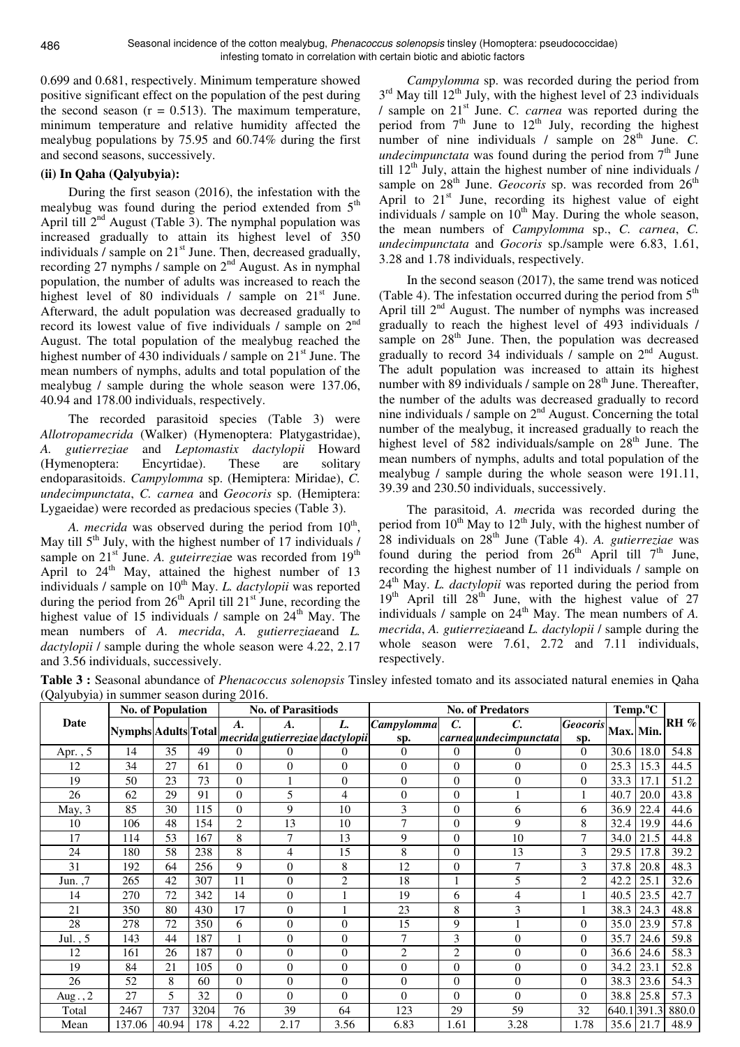0.699 and 0.681, respectively. Minimum temperature showed positive significant effect on the population of the pest during the second season  $(r = 0.513)$ . The maximum temperature, minimum temperature and relative humidity affected the mealybug populations by 75.95 and 60.74% during the first and second seasons, successively.

## **(ii) In Qaha (Qalyubyia):**

During the first season (2016), the infestation with the mealybug was found during the period extended from 5<sup>th</sup> April till  $2<sup>nd</sup>$  August (Table 3). The nymphal population was increased gradually to attain its highest level of 350 individuals  $\ell$  sample on  $21<sup>st</sup>$  June. Then, decreased gradually, recording 27 nymphs / sample on 2nd August. As in nymphal population, the number of adults was increased to reach the highest level of 80 individuals / sample on 21<sup>st</sup> June. Afterward, the adult population was decreased gradually to record its lowest value of five individuals / sample on 2nd August. The total population of the mealybug reached the highest number of 430 individuals / sample on  $21<sup>st</sup>$  June. The mean numbers of nymphs, adults and total population of the mealybug / sample during the whole season were 137.06, 40.94 and 178.00 individuals, respectively.

The recorded parasitoid species (Table 3) were *Allotropamecrida* (Walker) (Hymenoptera: Platygastridae), *A. gutierreziae* and *Leptomastix dactylopii* Howard (Hymenoptera: Encyrtidae). These are solitary endoparasitoids. *Campylomma* sp. (Hemiptera: Miridae), *C. undecimpunctata*, *C. carnea* and *Geocoris* sp. (Hemiptera: Lygaeidae) were recorded as predacious species (Table 3).

A. *mecrida* was observed during the period from 10<sup>th</sup>, May till  $5<sup>th</sup>$  July, with the highest number of 17 individuals / sample on 21<sup>st</sup> June. *A. guteirreziae* was recorded from 19<sup>th</sup> April to  $24<sup>th</sup>$  May, attained the highest number of 13 individuals / sample on 10<sup>th</sup> May. *L. dactylopii* was reported during the period from  $26<sup>th</sup>$  April till  $21<sup>st</sup>$  June, recording the highest value of 15 individuals  $\ell$  sample on 24<sup>th</sup> May. The mean numbers of *A. mecrida*, *A. gutierreziae*and *L. dactylopii* / sample during the whole season were 4.22, 2.17 and 3.56 individuals, successively.

*Campylomma* sp. was recorded during the period from  $3<sup>rd</sup>$  May till 12<sup>th</sup> July, with the highest level of 23 individuals / sample on 21st June. *C. carnea* was reported during the period from  $7<sup>th</sup>$  June to  $12<sup>th</sup>$  July, recording the highest number of nine individuals  $\ell$  sample on  $28<sup>th</sup>$  June.  $C$ . *undecimpunctata* was found during the period from  $7<sup>th</sup>$  June till  $12<sup>th</sup>$  July, attain the highest number of nine individuals / sample on 28<sup>th</sup> June. *Geocoris* sp. was recorded from 26<sup>th</sup> April to  $21^{st}$  June, recording its highest value of eight individuals / sample on  $10<sup>th</sup>$  May. During the whole season, the mean numbers of *Campylomma* sp., *C. carnea*, *C. undecimpunctata* and *Gocoris* sp./sample were 6.83, 1.61, 3.28 and 1.78 individuals, respectively.

In the second season (2017), the same trend was noticed (Table 4). The infestation occurred during the period from  $5<sup>th</sup>$ April till  $2<sup>nd</sup>$  August. The number of nymphs was increased gradually to reach the highest level of 493 individuals / sample on 28<sup>th</sup> June. Then, the population was decreased gradually to record 34 individuals  $\overline{\smash{)}\ }$  sample on  $2^{\text{nd}}$  August. The adult population was increased to attain its highest number with 89 individuals / sample on  $28<sup>th</sup>$  June. Thereafter, the number of the adults was decreased gradually to record nine individuals / sample on  $2<sup>nd</sup>$  August. Concerning the total number of the mealybug, it increased gradually to reach the highest level of 582 individuals/sample on  $28<sup>th</sup>$  June. The mean numbers of nymphs, adults and total population of the mealybug / sample during the whole season were 191.11, 39.39 and 230.50 individuals, successively.

The parasitoid, *A. me*crida was recorded during the period from  $10^{th}$  May to  $12^{th}$  July, with the highest number of 28 individuals on 28th June (Table 4). *A. gutierreziae* was found during the period from  $26<sup>th</sup>$  April till  $7<sup>th</sup>$  June, recording the highest number of 11 individuals / sample on 24<sup>th</sup> May. *L. dactylopii* was reported during the period from  $19<sup>th</sup>$  April till  $28<sup>th</sup>$  June, with the highest value of 27 individuals / sample on  $24^{\text{th}}$  May. The mean numbers of *A*. *mecrida*, *A. gutierreziae*and *L. dactylopii* / sample during the whole season were 7.61, 2.72 and 7.11 individuals, respectively.

**Table 3 :** Seasonal abundance of *Phenacoccus solenopsis* Tinsley infested tomato and its associated natural enemies in Qaha (Qalyubyia) in summer season during 2016.

|           |                     | <b>No. of Population</b> |      |                    | <b>No. of Parasitiods</b>       |                  |                |                 | <b>No. of Predators</b> |                 | Temp. <sup>o</sup> C |             |        |
|-----------|---------------------|--------------------------|------|--------------------|---------------------------------|------------------|----------------|-----------------|-------------------------|-----------------|----------------------|-------------|--------|
| Date      |                     |                          |      | $\boldsymbol{A}$ . | А.                              | L.               | Campylomma     | $\mathcal{C}$ . | C.                      | <b>Geocoris</b> |                      |             | $RH$ % |
|           | Nymphs Adults Total |                          |      |                    | mecrida gutierreziae dactylopii |                  | sp.            |                 | carnea undecimpunctata  | sp.             | Max. Min.            |             |        |
| Apr., 5   | 14                  | 35                       | 49   | $\Omega$           | $\theta$                        | $\Omega$         | $\theta$       | $\overline{0}$  | 0                       | $\theta$        | 30.6                 | 18.0        | 54.8   |
| 12        | 34                  | 27                       | 61   | $\Omega$           | $\overline{0}$                  | $\Omega$         | $\mathbf{0}$   | $\Omega$        | $\overline{0}$          | $\Omega$        | 25.3                 | 15.3        | 44.5   |
| 19        | 50                  | 23                       | 73   | $\Omega$           |                                 | $\mathbf{0}$     | $\mathbf{0}$   | $\Omega$        | $\overline{0}$          | $\mathbf{0}$    | 33.3                 | 17.1        | 51.2   |
| 26        | 62                  | 29                       | 91   | $\Omega$           | 5                               | 4                | $\Omega$       | $\Omega$        |                         | 1               | 40.7                 | 20.0        | 43.8   |
| May, 3    | 85                  | 30                       | 115  | $\overline{0}$     | 9                               | 10               | 3              | $\overline{0}$  | 6                       | 6               | 36.9                 | 22.4        | 44.6   |
| 10        | 106                 | 48                       | 154  | $\overline{c}$     | 13                              | 10               | 7              | $\Omega$        | 9                       | 8               | 32.4                 | 19.9        | 44.6   |
| 17        | 114                 | 53                       | 167  | 8                  | 7                               | 13               | 9              | $\Omega$        | 10                      | $\overline{7}$  | 34.0                 | 21.5        | 44.8   |
| 24        | 180                 | 58                       | 238  | 8                  | 4                               | 15               | 8              | $\Omega$        | 13                      | 3               | 29.5                 | 17.8        | 39.2   |
| 31        | 192                 | 64                       | 256  | 9                  | $\overline{0}$                  | 8                | 12             | $\Omega$        | 7                       | 3               | 37.8                 | 20.8        | 48.3   |
| Jun. $,7$ | 265                 | 42                       | 307  | 11                 | $\overline{0}$                  | $\overline{2}$   | 18             |                 | 5                       | $\overline{2}$  | 42.2                 | 25.1        | 32.6   |
| 14        | 270                 | 72                       | 342  | 14                 | $\overline{0}$                  | 1                | 19             | 6               | $\overline{4}$          | 1               | 40.5                 | 23.5        | 42.7   |
| 21        | 350                 | 80                       | 430  | 17                 | $\boldsymbol{0}$                |                  | 23             | 8               | 3                       |                 | 38.3                 | 24.3        | 48.8   |
| 28        | 278                 | 72                       | 350  | 6                  | $\theta$                        | $\theta$         | 15             | 9               |                         | $\Omega$        | 35.0                 | 23.9        | 57.8   |
| Jul., $5$ | 143                 | 44                       | 187  |                    | $\overline{0}$                  | $\boldsymbol{0}$ | $\overline{7}$ | 3               | $\overline{0}$          | $\Omega$        | 35.7                 | 24.6        | 59.8   |
| 12        | 161                 | 26                       | 187  | $\Omega$           | $\boldsymbol{0}$                | $\mathbf{0}$     | $\overline{2}$ | $\overline{c}$  | $\boldsymbol{0}$        | $\Omega$        | 36.6                 | 24.6        | 58.3   |
| 19        | 84                  | 21                       | 105  | $\Omega$           | $\theta$                        | $\Omega$         | $\theta$       | $\Omega$        | $\theta$                | $\Omega$        | 34.2                 | 23.1        | 52.8   |
| 26        | 52                  | 8                        | 60   | $\mathbf{0}$       | $\theta$                        | $\mathbf{0}$     | $\mathbf{0}$   | $\Omega$        | $\boldsymbol{0}$        | $\mathbf{0}$    | 38.3                 | 23.6        | 54.3   |
| Aug., 2   | 27                  | 5                        | 32   | $\Omega$           | $\overline{0}$                  | $\theta$         | $\Omega$       | $\Omega$        | $\overline{0}$          | $\Omega$        | 38.8                 | 25.8        | 57.3   |
| Total     | 2467                | 737                      | 3204 | 76                 | 39                              | 64               | 123            | 29              | 59                      | 32              |                      | 640.1 391.3 | 880.0  |
| Mean      | 137.06              | 40.94                    | 178  | 4.22               | 2.17                            | 3.56             | 6.83           | 1.61            | 3.28                    | 1.78            |                      | 35.6 21.7   | 48.9   |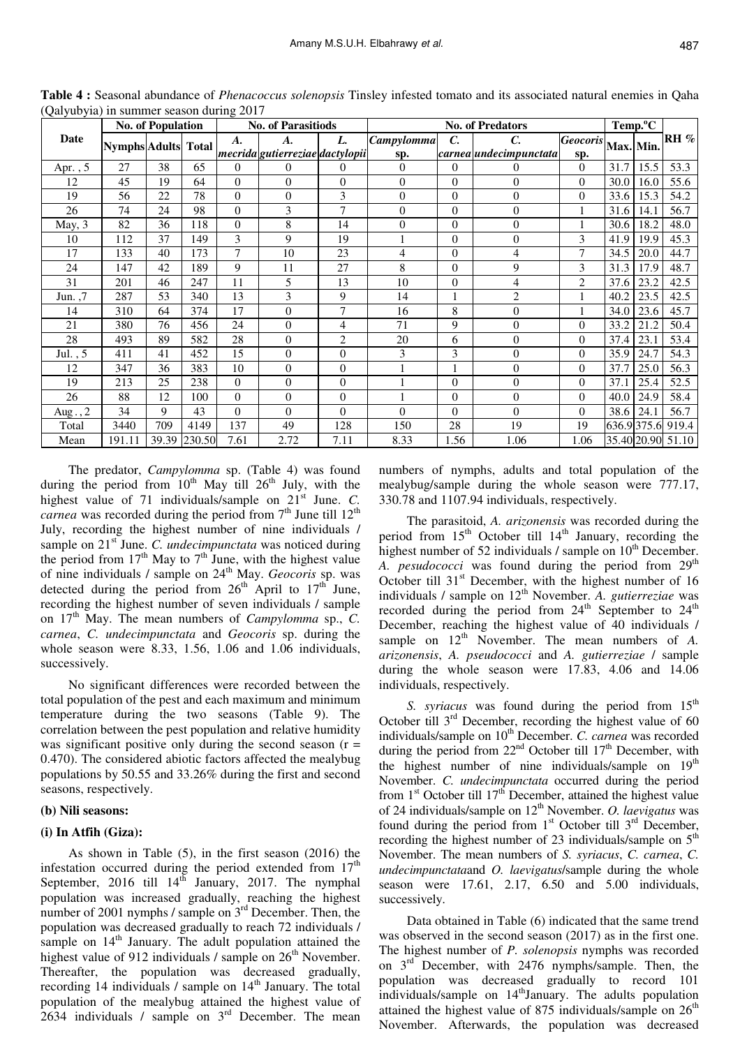|            |                            | <b>No. of Population</b> |        | <b>No. of Parasitiods</b> |                                 |                | <b>No. of Predators</b> |                 |                               |                 |           | Temp. <sup>o</sup> C |                     |
|------------|----------------------------|--------------------------|--------|---------------------------|---------------------------------|----------------|-------------------------|-----------------|-------------------------------|-----------------|-----------|----------------------|---------------------|
| Date       | <b>Nymphs</b> Adults Total |                          |        | $\boldsymbol{A}$ .        | А.                              | L.             | <b>Campylomma</b>       | $\mathcal{C}$ . | C.                            | <b>Geocoris</b> | Max. Min. |                      | $\mathbf{R}$ H $\%$ |
|            |                            |                          |        |                           | mecrida gutierreziae dactylopii |                | sp.                     |                 | carnea <i>undecimpunctata</i> | sp.             |           |                      |                     |
| Apr. , $5$ | 27                         | 38                       | 65     | 0                         | $\overline{0}$                  | $\theta$       | $\Omega$                | $\Omega$        | 0                             | $\Omega$        | 31.7      | 15.5                 | 53.3                |
| 12         | 45                         | 19                       | 64     | $\overline{0}$            | $\overline{0}$                  | $\theta$       | $\Omega$                | $\Omega$        | $\overline{0}$                | $\Omega$        | 30.0      | 16.0                 | 55.6                |
| 19         | 56                         | 22                       | 78     | $\overline{0}$            | $\overline{0}$                  | 3              | $\overline{0}$          | $\Omega$        | $\overline{0}$                | $\overline{0}$  | 33.6      | 15.3                 | 54.2                |
| 26         | 74                         | 24                       | 98     | $\overline{0}$            | 3                               | 7              | $\overline{0}$          | $\overline{0}$  | $\overline{0}$                |                 | 31.6      | 14.1                 | 56.7                |
| May, 3     | 82                         | 36                       | 118    | $\overline{0}$            | 8                               | 14             | $\Omega$                | $\Omega$        | $\overline{0}$                |                 | 30.6      | 18.2                 | 48.0                |
| 10         | 112                        | 37                       | 149    | 3                         | 9                               | 19             |                         | $\Omega$        | $\boldsymbol{0}$              | 3               | 41.9      | 19.9                 | 45.3                |
| 17         | 133                        | 40                       | 173    | 7                         | 10                              | 23             | 4                       | $\Omega$        | 4                             | 7               | 34.5      | 20.0                 | 44.7                |
| 24         | 147                        | 42                       | 189    | 9                         | 11                              | 27             | 8                       | $\Omega$        | 9                             | 3               | 31.3      | 17.9                 | 48.7                |
| 31         | 201                        | 46                       | 247    | 11                        | 5                               | 13             | 10                      | $\Omega$        | 4                             | $\overline{2}$  | 37.6      | 23.2                 | 42.5                |
| Jun. $,7$  | 287                        | 53                       | 340    | 13                        | 3                               | 9              | 14                      |                 | $\overline{c}$                |                 | 40.2      | 23.5                 | 42.5                |
| 14         | 310                        | 64                       | 374    | 17                        | $\boldsymbol{0}$                | 7              | 16                      | 8               | $\overline{0}$                |                 | 34.0      | 23.6                 | 45.7                |
| 21         | 380                        | 76                       | 456    | 24                        | $\overline{0}$                  | 4              | 71                      | 9               | $\boldsymbol{0}$              | $\theta$        | 33.2      | 21.2                 | 50.4                |
| 28         | 493                        | 89                       | 582    | 28                        | $\overline{0}$                  | $\overline{2}$ | 20                      | 6               | $\boldsymbol{0}$              | $\Omega$        | 37.4      | 23.1                 | 53.4                |
| Jul., $5$  | 411                        | 41                       | 452    | 15                        | $\overline{0}$                  | $\overline{0}$ | 3                       | 3               | $\overline{0}$                | $\Omega$        | 35.9      | 24.7                 | 54.3                |
| 12         | 347                        | 36                       | 383    | 10                        | $\overline{0}$                  | $\overline{0}$ |                         |                 | $\boldsymbol{0}$              | $\Omega$        | 37.7      | 25.0                 | 56.3                |
| 19         | 213                        | 25                       | 238    | $\overline{0}$            | $\overline{0}$                  | $\overline{0}$ |                         | $\overline{0}$  | $\overline{0}$                | $\theta$        | 37.1      | 25.4                 | 52.5                |
| 26         | 88                         | 12                       | 100    | $\overline{0}$            | $\overline{0}$                  | $\overline{0}$ |                         | $\Omega$        | $\boldsymbol{0}$              | $\Omega$        | 40.0      | 24.9                 | 58.4                |
| Aug., $2$  | 34                         | 9                        | 43     | $\overline{0}$            | $\overline{0}$                  | $\overline{0}$ | $\theta$                | $\Omega$        | $\overline{0}$                | $\Omega$        | 38.6      | 24.1                 | 56.7                |
| Total      | 3440                       | 709                      | 4149   | 137                       | 49                              | 128            | 150                     | 28              | 19                            | 19              |           | 636.9375.6           | 919.4               |
| Mean       | 191.11                     | 39.39                    | 230.50 | 7.61                      | 2.72                            | 7.11           | 8.33                    | 1.56            | 1.06                          | 1.06            |           |                      | 35.40 20.90 51.10   |

**Table 4 :** Seasonal abundance of *Phenacoccus solenopsis* Tinsley infested tomato and its associated natural enemies in Qaha (Qalyubyia) in summer season during 2017

The predator, *Campylomma* sp. (Table 4) was found during the period from  $10^{th}$  May till  $26^{th}$  July, with the highest value of 71 individuals/sample on 21<sup>st</sup> June. *C*. *carnea* was recorded during the period from 7<sup>th</sup> June till 12<sup>th</sup> July, recording the highest number of nine individuals / sample on 21<sup>st</sup> June. *C. undecimpunctata* was noticed during the period from  $17<sup>th</sup>$  May to  $7<sup>th</sup>$  June, with the highest value of nine individuals / sample on 24<sup>th</sup> May. *Geocoris* sp. was detected during the period from  $26<sup>th</sup>$  April to  $17<sup>th</sup>$  June, recording the highest number of seven individuals / sample on 17<sup>th</sup> May. The mean numbers of *Campylomma* sp., *C*. *carnea*, *C. undecimpunctata* and *Geocoris* sp. during the whole season were 8.33, 1.56, 1.06 and 1.06 individuals, successively.

No significant differences were recorded between the total population of the pest and each maximum and minimum temperature during the two seasons (Table 9). The correlation between the pest population and relative humidity was significant positive only during the second season  $(r =$ 0.470). The considered abiotic factors affected the mealybug populations by 50.55 and 33.26% during the first and second seasons, respectively.

#### **(b) Nili seasons:**

#### **(i) In Atfih (Giza):**

As shown in Table (5), in the first season (2016) the infestation occurred during the period extended from  $17<sup>th</sup>$ September, 2016 till  $14^{th}$  January, 2017. The nymphal population was increased gradually, reaching the highest number of 2001 nymphs / sample on 3rd December. Then, the population was decreased gradually to reach 72 individuals / sample on  $14<sup>th</sup>$  January. The adult population attained the highest value of 912 individuals / sample on  $26<sup>th</sup>$  November. Thereafter, the population was decreased gradually, recording 14 individuals  $\ell$  sample on 14<sup>th</sup> January. The total population of the mealybug attained the highest value of 2634 individuals / sample on  $3<sup>rd</sup>$  December. The mean numbers of nymphs, adults and total population of the mealybug/sample during the whole season were 777.17, 330.78 and 1107.94 individuals, respectively.

The parasitoid, *A. arizonensis* was recorded during the period from 15<sup>th</sup> October till 14<sup>th</sup> January, recording the highest number of 52 individuals / sample on  $10<sup>th</sup>$  December. A. pesudococci was found during the period from 29<sup>th</sup> October till 31<sup>st</sup> December, with the highest number of 16 individuals / sample on 12<sup>th</sup> November. *A. gutierreziae* was recorded during the period from  $24<sup>th</sup>$  September to  $24<sup>th</sup>$ December, reaching the highest value of 40 individuals / sample on  $12<sup>th</sup>$  November. The mean numbers of *A*. *arizonensis*, *A. pseudococci* and *A. gutierreziae* / sample during the whole season were 17.83, 4.06 and 14.06 individuals, respectively.

*S. syriacus* was found during the period from  $15<sup>th</sup>$ October till  $3<sup>rd</sup>$  December, recording the highest value of 60 individuals/sample on 10<sup>th</sup> December. *C. carnea* was recorded during the period from  $22<sup>nd</sup>$  October till  $17<sup>th</sup>$  December, with the highest number of nine individuals/sample on  $19<sup>th</sup>$ November. *C. undecimpunctata* occurred during the period from  $1<sup>st</sup>$  October till  $17<sup>th</sup>$  December, attained the highest value of 24 individuals/sample on 12<sup>th</sup> November. *O. laevigatus* was found during the period from  $1<sup>st</sup>$  October till  $3<sup>rd</sup>$  December, recording the highest number of 23 individuals/sample on  $5<sup>th</sup>$ November. The mean numbers of *S. syriacus*, *C. carnea*, *C. undecimpunctata*and *O. laevigatus*/sample during the whole season were 17.61, 2.17, 6.50 and 5.00 individuals, successively.

Data obtained in Table (6) indicated that the same trend was observed in the second season (2017) as in the first one. The highest number of *P. solenopsis* nymphs was recorded on  $3<sup>rd</sup>$  December, with 2476 nymphs/sample. Then, the population was decreased gradually to record 101 individuals/sample on  $14<sup>th</sup>$  January. The adults population attained the highest value of 875 individuals/sample on  $26<sup>th</sup>$ November. Afterwards, the population was decreased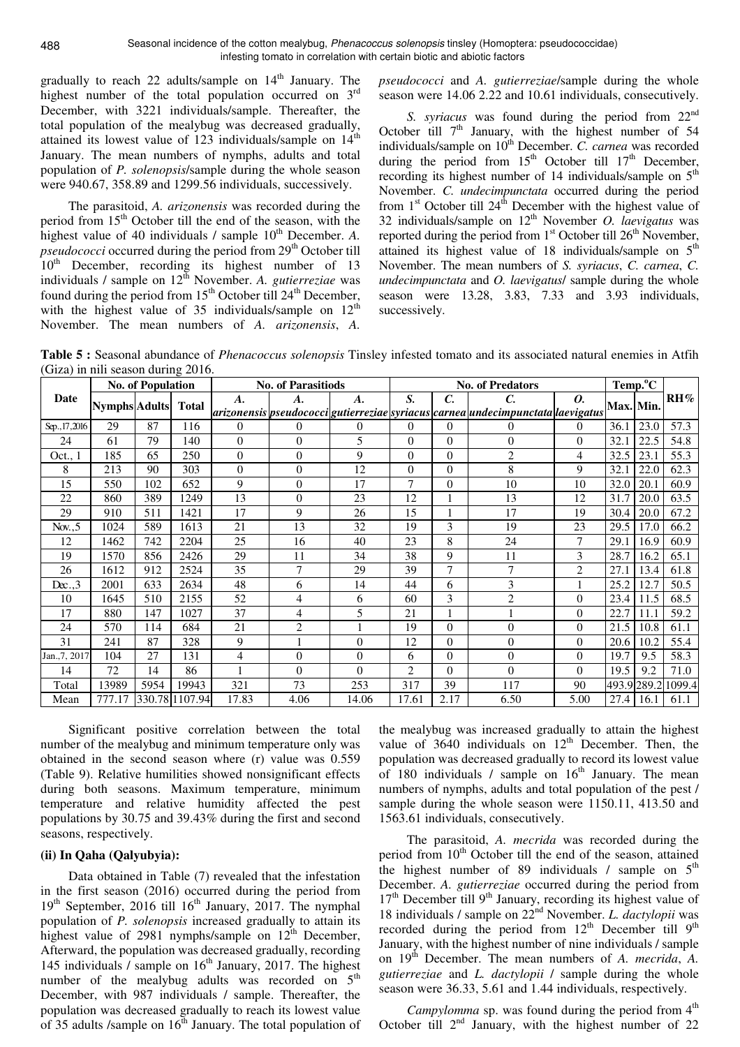gradually to reach 22 adults/sample on  $14<sup>th</sup>$  January. The highest number of the total population occurred on  $3<sup>rd</sup>$ December, with 3221 individuals/sample. Thereafter, the total population of the mealybug was decreased gradually, attained its lowest value of 123 individuals/sample on 14<sup>th</sup> January. The mean numbers of nymphs, adults and total population of *P. solenopsis*/sample during the whole season were 940.67, 358.89 and 1299.56 individuals, successively.

The parasitoid, *A. arizonensis* was recorded during the period from 15<sup>th</sup> October till the end of the season, with the highest value of 40 individuals / sample 10<sup>th</sup> December. A. *pseudococci* occurred during the period from  $29<sup>th</sup>$  October till  $10<sup>th</sup>$  December, recording its highest number of 13 individuals / sample on  $12^{th}$  November. *A. gutierreziae* was found during the period from  $15<sup>th</sup>$  October till  $24<sup>th</sup>$  December, with the highest value of 35 individuals/sample on  $12<sup>th</sup>$ November. The mean numbers of *A. arizonensis*, *A.* 

*pseudococci* and *A. gutierreziae*/sample during the whole season were 14.06 2.22 and 10.61 individuals, consecutively.

*S. syriacus* was found during the period from 22<sup>nd</sup> October till  $7<sup>th</sup>$  January, with the highest number of 54 individuals/sample on 10<sup>th</sup> December. *C. carnea* was recorded during the period from  $15<sup>th</sup>$  October till  $17<sup>th</sup>$  December, recording its highest number of 14 individuals/sample on  $5<sup>th</sup>$ November. *C. undecimpunctata* occurred during the period from  $1<sup>st</sup>$  October till  $24<sup>th</sup>$  December with the highest value of 32 individuals/sample on 12<sup>th</sup> November *O. laevigatus* was reported during the period from  $1<sup>st</sup>$  October till  $26<sup>th</sup>$  November, attained its highest value of 18 individuals/sample on  $5<sup>th</sup>$ November. The mean numbers of *S. syriacus*, *C. carnea*, *C. undecimpunctata* and *O. laevigatus*/ sample during the whole season were 13.28, 3.83, 7.33 and 3.93 individuals, successively.

**Table 5 :** Seasonal abundance of *Phenacoccus solenopsis* Tinsley infested tomato and its associated natural enemies in Atfih (Giza) in nili season during 2016.

|                |                            | <b>No. of Population</b> |                |                    | <b>No. of Parasitiods</b> |                |                |                 | <b>No. of Predators</b>                                                             |                |                  | Temp. <sup>o</sup> C |                           |
|----------------|----------------------------|--------------------------|----------------|--------------------|---------------------------|----------------|----------------|-----------------|-------------------------------------------------------------------------------------|----------------|------------------|----------------------|---------------------------|
| Date           | <b>Nymphs Adults</b> Total |                          |                | $\boldsymbol{A}$ . | A.                        | A.             | S.             | $\mathcal{C}$ . | C.                                                                                  | 0.             | <b>Max. Min.</b> |                      | $\mathbf{R} \mathbf{H}$ % |
|                |                            |                          |                |                    |                           |                |                |                 | arizonensis  pseudococci gutierreziae syriacus  carnea  undecimpunctata  laevigatus |                |                  |                      |                           |
| Sep., 17, 2016 | 29                         | 87                       | 116            | $\Omega$           | $\Omega$                  | $\overline{0}$ | $\overline{0}$ | $\overline{0}$  | 0                                                                                   | $\Omega$       | 36.1             | 23.0                 | 57.3                      |
| 24             | 61                         | 79                       | 140            | $\Omega$           | $\Omega$                  | 5              | $\Omega$       | $\Omega$        | $\theta$                                                                            | $\Omega$       | 32.1             | 22.5                 | 54.8                      |
| Oct., 1        | 185                        | 65                       | 250            | $\Omega$           | $\Omega$                  | 9              | $\overline{0}$ | $\theta$        | $\overline{2}$                                                                      | 4              | 32.5             | 23.1                 | 55.3                      |
| 8              | 213                        | 90                       | 303            | $\Omega$           | $\Omega$                  | 12             | $\Omega$       | $\theta$        | 8                                                                                   | 9              | 32.1             | 22.0                 | 62.3                      |
| 15             | 550                        | 102                      | 652            | 9                  | $\Omega$                  | 17             | $\tau$         | $\theta$        | 10                                                                                  | 10             | 32.0             | 20.1                 | 60.9                      |
| 22             | 860                        | 389                      | 1249           | 13                 | $\Omega$                  | 23             | 12             |                 | 13                                                                                  | 12             | 31.7             | 20.0                 | 63.5                      |
| 29             | 910                        | 511                      | 1421           | 17                 | 9                         | 26             | 15             |                 | 17                                                                                  | 19             | 30.4             | 20.0                 | 67.2                      |
| Nov., $5$      | 1024                       | 589                      | 1613           | 21                 | 13                        | 32             | 19             | 3               | 19                                                                                  | 23             | 29.5             | 17.0                 | 66.2                      |
| 12             | 1462                       | 742                      | 2204           | 25                 | 16                        | 40             | 23             | 8               | 24                                                                                  | 7              | 29.1             | 16.9                 | 60.9                      |
| 19             | 1570                       | 856                      | 2426           | 29                 | 11                        | 34             | 38             | 9               | 11                                                                                  | 3              | 28.7             | 16.2                 | 65.1                      |
| 26             | 1612                       | 912                      | 2524           | 35                 | $\overline{7}$            | 29             | 39             | $\overline{7}$  | 7                                                                                   | $\overline{2}$ | 27.1             | 13.4                 | 61.8                      |
| $D\nexc.3$     | 2001                       | 633                      | 2634           | 48                 | 6                         | 14             | 44             | 6               | 3                                                                                   |                | 25.2             | 12.7                 | 50.5                      |
| 10             | 1645                       | 510                      | 2155           | 52                 | 4                         | 6              | 60             | 3               | $\overline{c}$                                                                      | $\overline{0}$ | 23.4             | 11.5                 | 68.5                      |
| 17             | 880                        | 147                      | 1027           | 37                 | 4                         | 5              | 21             |                 |                                                                                     | $\overline{0}$ | 22.7             | 11.1                 | 59.2                      |
| 24             | 570                        | 114                      | 684            | 21                 | $\overline{2}$            |                | 19             | $\theta$        | $\theta$                                                                            | $\Omega$       | 21.5             | 10.8                 | 61.1                      |
| 31             | 241                        | 87                       | 328            | 9                  |                           | $\overline{0}$ | 12             | $\theta$        | $\theta$                                                                            | $\overline{0}$ | 20.6             | 10.2                 | 55.4                      |
| Jan., 7, 2017  | 104                        | 27                       | 131            | 4                  | $\theta$                  | $\overline{0}$ | 6              | $\overline{0}$  | $\overline{0}$                                                                      | $\overline{0}$ | 19.7             | 9.5                  | 58.3                      |
| 14             | 72                         | 14                       | 86             |                    | $\Omega$                  | $\Omega$       | $\overline{c}$ | $\theta$        | $\theta$                                                                            | $\Omega$       | 19.5             | 9.2                  | 71.0                      |
| Total          | 13989                      | 5954                     | 19943          | 321                | 73                        | 253            | 317            | 39              | 117                                                                                 | 90             | 493.9289.2       |                      | 1099.4                    |
| Mean           | 777.17                     |                          | 330.78 1107.94 | 17.83              | 4.06                      | 14.06          | 17.61          | 2.17            | 6.50                                                                                | 5.00           | 27.4             | 16.1                 | 61.1                      |

Significant positive correlation between the total number of the mealybug and minimum temperature only was obtained in the second season where (r) value was 0.559 (Table 9). Relative humilities showed nonsignificant effects during both seasons. Maximum temperature, minimum temperature and relative humidity affected the pest populations by 30.75 and 39.43% during the first and second seasons, respectively.

### **(ii) In Qaha (Qalyubyia):**

Data obtained in Table (7) revealed that the infestation in the first season (2016) occurred during the period from  $19<sup>th</sup>$  September, 2016 till  $16<sup>th</sup>$  January, 2017. The nymphal population of *P. solenopsis* increased gradually to attain its highest value of 2981 nymphs/sample on  $12^{th}$  December, Afterward, the population was decreased gradually, recording 145 individuals / sample on  $16<sup>th</sup>$  January, 2017. The highest number of the mealybug adults was recorded on  $5<sup>th</sup>$ December, with 987 individuals / sample. Thereafter, the population was decreased gradually to reach its lowest value of 35 adults /sample on  $16<sup>th</sup>$  January. The total population of

the mealybug was increased gradually to attain the highest value of  $3640$  individuals on  $12<sup>th</sup>$  December. Then, the population was decreased gradually to record its lowest value of 180 individuals / sample on  $16<sup>th</sup>$  January. The mean numbers of nymphs, adults and total population of the pest / sample during the whole season were 1150.11, 413.50 and 1563.61 individuals, consecutively.

The parasitoid, *A. mecrida* was recorded during the period from  $10<sup>th</sup>$  October till the end of the season, attained the highest number of 89 individuals / sample on  $5<sup>th</sup>$ December. *A. gutierreziae* occurred during the period from  $17<sup>th</sup>$  December till 9<sup>th</sup> January, recording its highest value of 18 individuals / sample on 22nd November. *L. dactylopii* was recorded during the period from  $12<sup>th</sup>$  December till  $9<sup>th</sup>$ January, with the highest number of nine individuals / sample on 19<sup>th</sup> December. The mean numbers of *A. mecrida*, *A. gutierreziae* and *L. dactylopii* / sample during the whole season were 36.33, 5.61 and 1.44 individuals, respectively.

*Campylomma* sp. was found during the period from  $4<sup>th</sup>$ October till  $2<sup>nd</sup>$  January, with the highest number of 22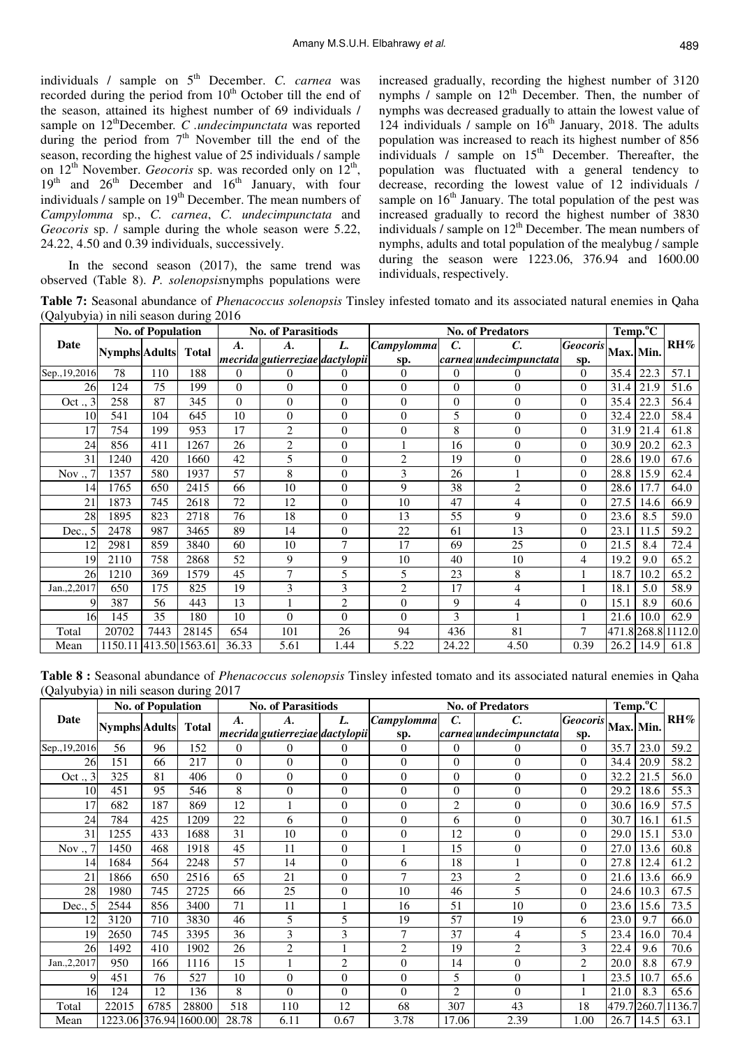individuals / sample on 5<sup>th</sup> December. *C. carnea* was recorded during the period from  $10<sup>th</sup>$  October till the end of the season, attained its highest number of 69 individuals / sample on 12<sup>th</sup>December. C .undecimpunctata was reported during the period from  $7<sup>th</sup>$  November till the end of the season, recording the highest value of 25 individuals / sample on  $12<sup>th</sup>$  November. *Geocoris* sp. was recorded only on  $12<sup>th</sup>$ ,  $19<sup>th</sup>$  and  $26<sup>th</sup>$  December and  $16<sup>th</sup>$  January, with four individuals / sample on 19<sup>th</sup> December. The mean numbers of *Campylomma* sp., *C. carnea*, *C. undecimpunctata* and *Geocoris* sp. / sample during the whole season were 5.22, 24.22, 4.50 and 0.39 individuals, successively.

In the second season (2017), the same trend was observed (Table 8). *P. solenopsis*nymphs populations were

increased gradually, recording the highest number of 3120 nymphs  $\ell$  sample on  $12<sup>th</sup>$  December. Then, the number of nymphs was decreased gradually to attain the lowest value of 124 individuals / sample on  $16<sup>th</sup>$  January, 2018. The adults population was increased to reach its highest number of 856 individuals  $\ell$  sample on  $15<sup>th</sup>$  December. Thereafter, the population was fluctuated with a general tendency to decrease, recording the lowest value of 12 individuals / sample on  $16<sup>th</sup>$  January. The total population of the pest was increased gradually to record the highest number of 3830 individuals  $/$  sample on  $12<sup>th</sup>$  December. The mean numbers of nymphs, adults and total population of the mealybug / sample during the season were 1223.06, 376.94 and 1600.00 individuals, respectively.

**Table 7:** Seasonal abundance of *Phenacoccus solenopsis* Tinsley infested tomato and its associated natural enemies in Qaha (Qalyubyia) in nili season during 2016

|                |                        | <b>No. of Population</b> |              |          | <b>No. of Parasitiods</b>       |                |                |                | <b>No. of Predators</b> |                |           | Temp. <sup>o</sup> C |                    |
|----------------|------------------------|--------------------------|--------------|----------|---------------------------------|----------------|----------------|----------------|-------------------------|----------------|-----------|----------------------|--------------------|
| Date           | <b>Nymphs Adults</b>   |                          | <b>Total</b> | A.       | А.                              | L.             | Campylomma     | С.             | C.                      | Geocoris       | Max. Min. |                      | RH%                |
|                |                        |                          |              |          | mecrida gutierreziae dactylopii |                | sp.            |                | carnea undecimpunctata  | sp.            |           |                      |                    |
| Sep., 19, 2016 | 78                     | 110                      | 188          | $\Omega$ | $\overline{0}$                  | 0              | $\theta$       | 0              | 0                       | $\Omega$       | 35.4      | 22.3                 | 57.1               |
| 26             | 124                    | 75                       | 199          | $\Omega$ | $\overline{0}$                  | $\theta$       | $\theta$       | $\overline{0}$ | $\overline{0}$          | $\Omega$       | 31.4      | 21.9                 | 51.6               |
| 3<br>Oct.      | 258                    | 87                       | 345          | $\theta$ | $\theta$                        | $\theta$       | $\Omega$       | $\Omega$       | $\overline{0}$          | $\Omega$       | 35.4      | 22.3                 | 56.4               |
| 10             | 541                    | 104                      | 645          | 10       | $\overline{0}$                  | $\overline{0}$ | $\overline{0}$ | 5              | 0                       | $\Omega$       | 32.4      | 22.0                 | 58.4               |
| 17             | 754                    | 199                      | 953          | 17       | $\overline{2}$                  | $\theta$       | $\theta$       | 8              | $\boldsymbol{0}$        | $\Omega$       | 31.9      | 21.4                 | 61.8               |
| 24             | 856                    | 411                      | 1267         | 26       | $\overline{2}$                  | $\overline{0}$ |                | 16             | $\overline{0}$          | $\theta$       | 30.9      | 20.2                 | 62.3               |
| 31             | 1240                   | 420                      | 1660         | 42       | 5                               | $\overline{0}$ | $\overline{2}$ | 19             | $\overline{0}$          | $\theta$       | 28.6      | 19.0                 | 67.6               |
| Nov.,          | 1357                   | 580                      | 1937         | 57       | 8                               | $\theta$       | 3              | 26             |                         | $\theta$       | 28.8      | 15.9                 | 62.4               |
| 14             | 1765                   | 650                      | 2415         | 66       | 10                              | $\theta$       | 9              | 38             | $\overline{c}$          | $\theta$       | 28.6      | 17.7                 | 64.0               |
| 21             | 1873                   | 745                      | 2618         | 72       | 12                              | $\theta$       | 10             | 47             | 4                       | $\Omega$       | 27.5      | 14.6                 | 66.9               |
| 28             | 1895                   | 823                      | 2718         | 76       | 18                              | $\theta$       | 13             | 55             | 9                       | $\Omega$       | 23.6      | 8.5                  | 59.0               |
| Dec.,<br>.5    | 2478                   | 987                      | 3465         | 89       | 14                              | $\theta$       | 22             | 61             | 13                      | $\Omega$       | 23.1      | 11.5                 | 59.2               |
| 12             | 2981                   | 859                      | 3840         | 60       | 10                              | $\overline{7}$ | 17             | 69             | 25                      | $\Omega$       | 21.5      | 8.4                  | 72.4               |
| 19             | 2110                   | 758                      | 2868         | 52       | 9                               | 9              | 10             | 40             | 10                      | 4              | 19.2      | 9.0                  | 65.2               |
| 26             | 1210                   | 369                      | 1579         | 45       | 7                               | 5              | 5              | 23             | 8                       |                | 18.7      | 10.2                 | 65.2               |
| Jan., 2, 2017  | 650                    | 175                      | 825          | 19       | 3                               | 3              | $\overline{2}$ | 17             | 4                       | 1              | 18.1      | 5.0                  | 58.9               |
| 9              | 387                    | 56                       | 443          | 13       |                                 | $\overline{2}$ | $\overline{0}$ | 9              | 4                       | $\theta$       | 15.1      | 8.9                  | 60.6               |
| 16             | 145                    | 35                       | 180          | 10       | $\Omega$                        | $\theta$       | $\Omega$       | 3              |                         |                | 21.6      | 10.0                 | 62.9               |
| Total          | 20702                  | 7443                     | 28145        | 654      | 101                             | 26             | 94             | 436            | 81                      | $\overline{7}$ |           |                      | 471.8 268.8 1112.0 |
| Mean           | 1150.11 413.50 1563.61 |                          |              | 36.33    | 5.61                            | 1.44           | 5.22           | 24.22          | 4.50                    | 0.39           | 26.2      | 14.9                 | 61.8               |

**Table 8 :** Seasonal abundance of *Phenacoccus solenopsis* Tinsley infested tomato and its associated natural enemies in Qaha (Qalyubyia) in nili season during 2017

| Ž.<br>$\overline{\phantom{a}}$ |                      | <b>No. of Population</b> | $\circ$                |                | <b>No. of Parasitiods</b>       |                |                |                | <b>No. of Predators</b>       |                 |             | Temp. <sup>o</sup> C |                            |
|--------------------------------|----------------------|--------------------------|------------------------|----------------|---------------------------------|----------------|----------------|----------------|-------------------------------|-----------------|-------------|----------------------|----------------------------|
| Date                           | <b>Nymphs Adults</b> |                          | <b>Total</b>           | A.             | А.                              | L.             | Campylomma     | C.             | C.                            | <b>Geocoris</b> | Max. Min.   |                      | $\mathbf{R} \mathbf{H} \%$ |
|                                |                      |                          |                        |                | mecrida gutierreziae dactylopii |                | sp.            |                | carnea <i>undecimpunctata</i> | sp.             |             |                      |                            |
| Sep., 19, 2016                 | 56                   | 96                       | 152                    | $\theta$       | $\theta$                        | $\overline{0}$ | $\theta$       | $\Omega$       | 0                             | $\Omega$        | 35.7        | 23.0                 | 59.2                       |
| 26                             | 151                  | 66                       | 217                    | $\overline{0}$ | $\overline{0}$                  | $\overline{0}$ | $\Omega$       | $\theta$       | $\overline{0}$                | $\Omega$        | 34.4        | 20.9                 | 58.2                       |
| 3<br>Oct.                      | 325                  | 81                       | 406                    | $\overline{0}$ | $\overline{0}$                  | $\overline{0}$ | $\theta$       | $\overline{0}$ | $\overline{0}$                | $\theta$        | 32.2        | 21.5                 | 56.0                       |
| 10                             | 451                  | 95                       | 546                    | 8              | $\overline{0}$                  | $\overline{0}$ | $\overline{0}$ | $\theta$       | $\overline{0}$                | $\Omega$        | 29.2        | 18.6                 | 55.3                       |
| 17                             | 682                  | 187                      | 869                    | 12             | $\mathbf{1}$                    | $\overline{0}$ | $\theta$       | $\overline{c}$ | $\overline{0}$                | $\Omega$        | 30.6        | 16.9                 | 57.5                       |
| 24                             | 784                  | 425                      | 1209                   | 22             | 6                               | $\overline{0}$ | $\Omega$       | 6              | $\overline{0}$                | $\Omega$        | 30.7        | 16.1                 | 61.5                       |
| 31                             | 1255                 | 433                      | 1688                   | 31             | 10                              | $\overline{0}$ | $\overline{0}$ | 12             | $\overline{0}$                | $\theta$        | 29.0        | 15.1                 | 53.0                       |
| Nov $\ldots$                   | 1450                 | 468                      | 1918                   | 45             | 11                              | $\overline{0}$ |                | 15             | $\overline{0}$                | $\theta$        | 27.0        | 13.6                 | 60.8                       |
| 14                             | 1684                 | 564                      | 2248                   | 57             | 14                              | $\theta$       | 6              | 18             |                               | $\theta$        | 27.8        | 12.4                 | 61.2                       |
| 21                             | 1866                 | 650                      | 2516                   | 65             | 21                              | $\overline{0}$ | $\tau$         | 23             | $\overline{2}$                | $\Omega$        | 21.6        | 13.6                 | 66.9                       |
| 28                             | 1980                 | 745                      | 2725                   | 66             | 25                              | $\overline{0}$ | 10             | 46             | 5                             | $\Omega$        | 24.6        | 10.3                 | 67.5                       |
| Dec.,                          | 2544                 | 856                      | 3400                   | 71             | 11                              |                | 16             | 51             | 10                            | $\Omega$        | 23.6        | 15.6                 | 73.5                       |
| 12                             | 3120                 | 710                      | 3830                   | 46             | 5                               | 5              | 19             | 57             | 19                            | 6               | 23.0        | 9.7                  | 66.0                       |
| 19                             | 2650                 | 745                      | 3395                   | 36             | 3                               | 3              | 7              | 37             | 4                             | 5               | 23.4        | 16.0                 | 70.4                       |
| 26                             | 1492                 | 410                      | 1902                   | 26             | $\overline{c}$                  |                | $\overline{2}$ | 19             | $\overline{c}$                | 3               | 22.4        | 9.6                  | 70.6                       |
| Jan., 2, 2017                  | 950                  | 166                      | 1116                   | 15             |                                 | $\overline{2}$ | $\overline{0}$ | 14             | $\overline{0}$                | $\overline{2}$  | 20.0        | 8.8                  | 67.9                       |
|                                | 451                  | 76                       | 527                    | 10             | $\overline{0}$                  | $\overline{0}$ | $\overline{0}$ | 5              | $\overline{0}$                |                 | 23.5        | 10.7                 | 65.6                       |
| 16                             | 124                  | 12                       | 136                    | 8              | $\Omega$                        | $\theta$       | $\Omega$       | $\overline{2}$ | $\theta$                      |                 | 21.0        | 8.3                  | 65.6                       |
| Total                          | 22015                | 6785                     | 28800                  | 518            | 110                             | 12             | 68             | 307            | 43                            | 18              | 479.7 260.7 |                      | 1136.7                     |
| Mean                           |                      |                          | 1223.06 376.94 1600.00 | 28.78          | 6.11                            | 0.67           | 3.78           | 17.06          | 2.39                          | 1.00            | 26.7        | 14.5                 | 63.1                       |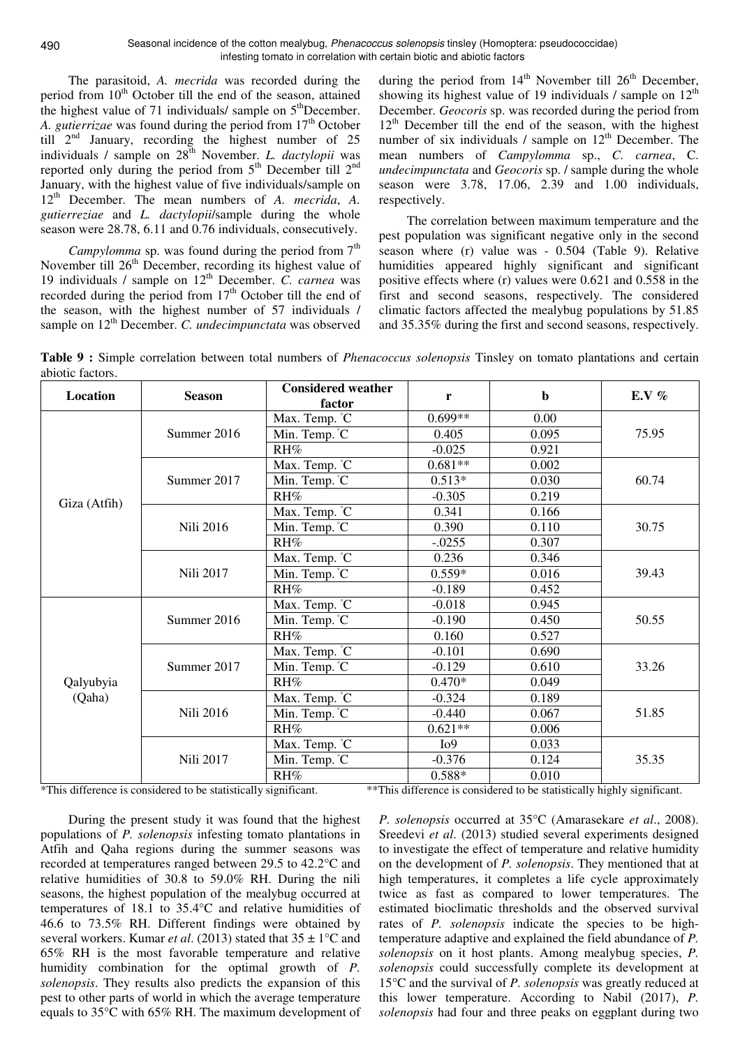The parasitoid, *A. mecrida* was recorded during the period from 10<sup>th</sup> October till the end of the season, attained the highest value of 71 individuals/ sample on  $5<sup>th</sup>$ December. A. *gutierrizae* was found during the period from 17<sup>th</sup> October till  $2<sup>nd</sup>$  January, recording the highest number of 25 individuals / sample on  $28<sup>th</sup>$  November. *L. dactylopii* was reported only during the period from  $5<sup>th</sup>$  December till  $2<sup>nd</sup>$ January, with the highest value of five individuals/sample on 12th December. The mean numbers of *A. mecrida*, *A. gutierreziae* and *L. dactylopii*/sample during the whole season were 28.78, 6.11 and 0.76 individuals, consecutively.

*Campylomma* sp. was found during the period from  $7<sup>th</sup>$ November till 26<sup>th</sup> December, recording its highest value of 19 individuals / sample on 12<sup>th</sup> December. *C. carnea* was recorded during the period from 17<sup>th</sup> October till the end of the season, with the highest number of 57 individuals / sample on 12<sup>th</sup> December. *C. undecimpunctata* was observed

during the period from  $14<sup>th</sup>$  November till  $26<sup>th</sup>$  December, showing its highest value of 19 individuals / sample on  $12<sup>th</sup>$ December. *Geocoris* sp. was recorded during the period from  $12<sup>th</sup>$  December till the end of the season, with the highest number of six individuals / sample on  $12<sup>th</sup>$  December. The mean numbers of *Campylomma* sp., *C. carnea*, C. *undecimpunctata* and *Geocoris* sp. / sample during the whole season were 3.78, 17.06, 2.39 and 1.00 individuals, respectively.

The correlation between maximum temperature and the pest population was significant negative only in the second season where (r) value was - 0.504 (Table 9). Relative humidities appeared highly significant and significant positive effects where (r) values were 0.621 and 0.558 in the first and second seasons, respectively. The considered climatic factors affected the mealybug populations by 51.85 and 35.35% during the first and second seasons, respectively.

| Location     | <b>Season</b>    | <b>Considered weather</b><br>factor         | r                | $\mathbf b$ | E.V $%$ |
|--------------|------------------|---------------------------------------------|------------------|-------------|---------|
|              |                  | Max. Temp. °C                               | $0.699**$        | 0.00        |         |
|              | Summer 2016      | Min. Temp. °C                               | 0.405            | 0.095       | 75.95   |
|              |                  | RH%                                         | $-0.025$         | 0.921       |         |
|              |                  | Max. Temp. °C                               | $0.681**$        | 0.002       |         |
|              | Summer 2017      | Min. Temp. °C                               | $0.513*$         | 0.030       | 60.74   |
| Giza (Atfih) |                  | RH%                                         | $-0.305$         | 0.219       |         |
|              |                  | Max. Temp. °C                               | 0.341            | 0.166       |         |
|              | <b>Nili 2016</b> | $\overline{\text{Min}}$ . Temp. $\degree$ C | 0.390            | 0.110       | 30.75   |
|              |                  | RH%                                         | $-.0255$         | 0.307       |         |
|              |                  | Max. Temp. °C                               | 0.236            | 0.346       |         |
|              | Nili 2017        | Min. Temp. °C                               | $0.559*$         | 0.016       | 39.43   |
|              |                  | RH%                                         | $-0.189$         | 0.452       |         |
|              |                  | Max. Temp. °C                               | $-0.018$         | 0.945       |         |
|              | Summer 2016      | $\overline{\text{Min}}$ . Temp. $\degree$ C | $-0.190$         | 0.450       | 50.55   |
|              |                  | RH%                                         | 0.160            | 0.527       |         |
|              |                  | Max. Temp. °C                               | $-0.101$         | 0.690       |         |
|              | Summer 2017      | Min. Temp. C                                | $-0.129$         | 0.610       | 33.26   |
| Qalyubyia    |                  | RH%                                         | $0.470*$         | 0.049       |         |
| (Qaha)       |                  | Max. Temp. °C                               | $-0.324$         | 0.189       |         |
|              | <b>Nili 2016</b> | Min. Temp. C                                | $-0.440$         | 0.067       | 51.85   |
|              |                  | RH%                                         | $0.621**$        | 0.006       |         |
|              |                  | Max. Temp. °C                               | I <sub>0</sub> 9 | 0.033       |         |
|              | Nili 2017        | Min. Temp. C                                | $-0.376$         | 0.124       | 35.35   |
|              |                  | RH%                                         | $0.588*$         | 0.010       |         |

**Table 9 :** Simple correlation between total numbers of *Phenacoccus solenopsis* Tinsley on tomato plantations and certain abiotic factors.

\*This difference is considered to be statistically significant. \*\*This difference is considered to be statistically highly significant.

During the present study it was found that the highest populations of *P. solenopsis* infesting tomato plantations in Atfih and Qaha regions during the summer seasons was recorded at temperatures ranged between 29.5 to 42.2°C and relative humidities of 30.8 to 59.0% RH. During the nili seasons, the highest population of the mealybug occurred at temperatures of 18.1 to 35.4°C and relative humidities of 46.6 to 73.5% RH. Different findings were obtained by several workers. Kumar *et al*. (2013) stated that 35 ± 1°C and 65% RH is the most favorable temperature and relative humidity combination for the optimal growth of *P. solenopsis*. They results also predicts the expansion of this pest to other parts of world in which the average temperature equals to 35°C with 65% RH. The maximum development of

*P. solenopsis* occurred at 35°C (Amarasekare *et al*., 2008). Sreedevi *et al*. (2013) studied several experiments designed to investigate the effect of temperature and relative humidity on the development of *P. solenopsis*. They mentioned that at high temperatures, it completes a life cycle approximately twice as fast as compared to lower temperatures. The estimated bioclimatic thresholds and the observed survival rates of *P. solenopsis* indicate the species to be hightemperature adaptive and explained the field abundance of *P. solenopsis* on it host plants. Among mealybug species, *P. solenopsis* could successfully complete its development at 15°C and the survival of *P. solenopsis* was greatly reduced at this lower temperature. According to Nabil (2017), *P. solenopsis* had four and three peaks on eggplant during two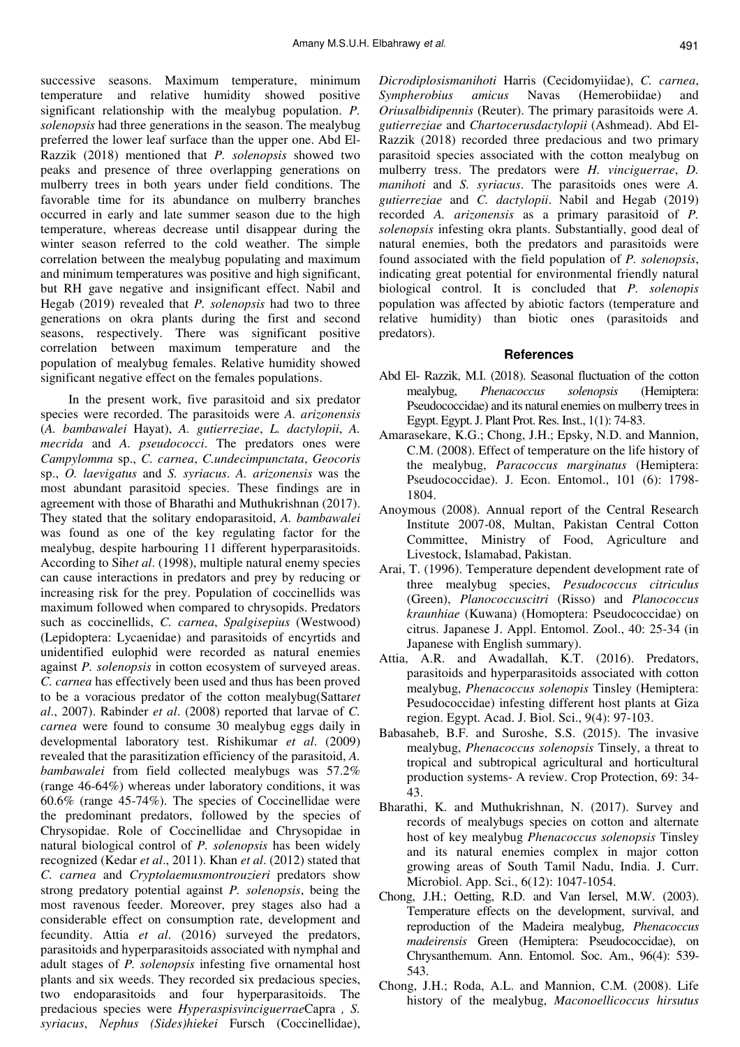successive seasons. Maximum temperature, minimum temperature and relative humidity showed positive significant relationship with the mealybug population. *P. solenopsis* had three generations in the season. The mealybug preferred the lower leaf surface than the upper one. Abd El-Razzik (2018) mentioned that *P. solenopsis* showed two peaks and presence of three overlapping generations on mulberry trees in both years under field conditions. The favorable time for its abundance on mulberry branches occurred in early and late summer season due to the high temperature, whereas decrease until disappear during the winter season referred to the cold weather. The simple correlation between the mealybug populating and maximum and minimum temperatures was positive and high significant, but RH gave negative and insignificant effect. Nabil and Hegab (2019) revealed that *P. solenopsis* had two to three generations on okra plants during the first and second seasons, respectively. There was significant positive correlation between maximum temperature and the population of mealybug females. Relative humidity showed significant negative effect on the females populations.

In the present work, five parasitoid and six predator species were recorded. The parasitoids were *A. arizonensis* (*A. bambawalei* Hayat), *A. gutierreziae*, *L. dactylopii*, *A. mecrida* and *A. pseudococci*. The predators ones were *Campylomma* sp., *C. carnea*, *C.undecimpunctata*, *Geocoris* sp., *O. laevigatus* and *S. syriacus*. *A. arizonensis* was the most abundant parasitoid species. These findings are in agreement with those of Bharathi and Muthukrishnan (2017). They stated that the solitary endoparasitoid, *A. bambawalei* was found as one of the key regulating factor for the mealybug, despite harbouring 11 different hyperparasitoids. According to Sih*et al*. (1998), multiple natural enemy species can cause interactions in predators and prey by reducing or increasing risk for the prey. Population of coccinellids was maximum followed when compared to chrysopids. Predators such as coccinellids, *C. carnea*, *Spalgisepius* (Westwood) (Lepidoptera: Lycaenidae) and parasitoids of encyrtids and unidentified eulophid were recorded as natural enemies against *P. solenopsis* in cotton ecosystem of surveyed areas. *C. carnea* has effectively been used and thus has been proved to be a voracious predator of the cotton mealybug(Sattar*et al*., 2007). Rabinder *et al*. (2008) reported that larvae of *C. carnea* were found to consume 30 mealybug eggs daily in developmental laboratory test. Rishikumar *et al*. (2009) revealed that the parasitization efficiency of the parasitoid, *A. bambawalei* from field collected mealybugs was 57.2% (range 46-64%) whereas under laboratory conditions, it was 60.6% (range 45-74%). The species of Coccinellidae were the predominant predators, followed by the species of Chrysopidae. Role of Coccinellidae and Chrysopidae in natural biological control of *P. solenopsis* has been widely recognized (Kedar *et al*., 2011). Khan *et al*. (2012) stated that *C. carnea* and *Cryptolaemusmontrouzieri* predators show strong predatory potential against *P. solenopsis*, being the most ravenous feeder. Moreover, prey stages also had a considerable effect on consumption rate, development and fecundity. Attia *et al*. (2016) surveyed the predators, parasitoids and hyperparasitoids associated with nymphal and adult stages of *P. solenopsis* infesting five ornamental host plants and six weeds. They recorded six predacious species, two endoparasitoids and four hyperparasitoids. The predacious species were *Hyperaspisvinciguerrae*Capra *, S. syriacus*, *Nephus (Sides)hiekei* Fursch (Coccinellidae),

*Dicrodiplosismanihoti* Harris (Cecidomyiidae), *C. carnea*, *Sympherobius amicus* Navas (Hemerobiidae) and *Oriusalbidipennis* (Reuter). The primary parasitoids were *A. gutierreziae* and *Chartocerusdactylopii* (Ashmead). Abd El-Razzik (2018) recorded three predacious and two primary parasitoid species associated with the cotton mealybug on mulberry tress. The predators were *H. vinciguerrae*, *D. manihoti* and *S. syriacus*. The parasitoids ones were *A. gutierreziae* and *C. dactylopii*. Nabil and Hegab (2019) recorded *A. arizonensis* as a primary parasitoid of *P. solenopsis* infesting okra plants. Substantially, good deal of natural enemies, both the predators and parasitoids were found associated with the field population of *P. solenopsis*, indicating great potential for environmental friendly natural biological control. It is concluded that *P. solenopis* population was affected by abiotic factors (temperature and relative humidity) than biotic ones (parasitoids and predators).

#### **References**

- Abd El- Razzik, M.I. (2018). Seasonal fluctuation of the cotton mealybug, *Phenacoccus solenopsis* (Hemiptera: Pseudococcidae) and its natural enemies on mulberry trees in Egypt. Egypt. J. Plant Prot. Res. Inst., 1(1): 74-83.
- Amarasekare, K.G.; Chong, J.H.; Epsky, N.D. and Mannion, C.M. (2008). Effect of temperature on the life history of the mealybug, *Paracoccus marginatus* (Hemiptera: Pseudococcidae). J. Econ. Entomol., 101 (6): 1798- 1804.
- Anoymous (2008). Annual report of the Central Research Institute 2007-08, Multan, Pakistan Central Cotton Committee, Ministry of Food, Agriculture and Livestock, Islamabad, Pakistan.
- Arai, T. (1996). Temperature dependent development rate of three mealybug species, *Pesudococcus citriculus* (Green), *Planococcuscitri* (Risso) and *Planococcus kraunhiae* (Kuwana) (Homoptera: Pseudococcidae) on citrus. Japanese J. Appl. Entomol. Zool., 40: 25-34 (in Japanese with English summary).
- Attia, A.R. and Awadallah, K.T. (2016). Predators, parasitoids and hyperparasitoids associated with cotton mealybug, *Phenacoccus solenopis* Tinsley (Hemiptera: Pesudococcidae) infesting different host plants at Giza region. Egypt. Acad. J. Biol. Sci., 9(4): 97-103.
- Babasaheb, B.F. and Suroshe, S.S. (2015). The invasive mealybug, *Phenacoccus solenopsis* Tinsely, a threat to tropical and subtropical agricultural and horticultural production systems- A review. Crop Protection, 69: 34- 43.
- Bharathi, K. and Muthukrishnan, N. (2017). Survey and records of mealybugs species on cotton and alternate host of key mealybug *Phenacoccus solenopsis* Tinsley and its natural enemies complex in major cotton growing areas of South Tamil Nadu, India. J. Curr. Microbiol. App. Sci., 6(12): 1047-1054.
- Chong, J.H.; Oetting, R.D. and Van Iersel, M.W. (2003). Temperature effects on the development, survival, and reproduction of the Madeira mealybug, *Phenacoccus madeirensis* Green (Hemiptera: Pseudococcidae), on Chrysanthemum. Ann. Entomol. Soc. Am., 96(4): 539- 543.
- Chong, J.H.; Roda, A.L. and Mannion, C.M. (2008). Life history of the mealybug, *Maconoellicoccus hirsutus*